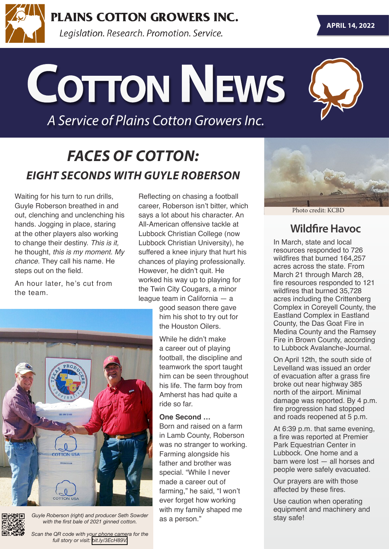

**PLAINS COTTON GROWERS INC.** 

Legislation. Research. Promotion. Service.

**Cotton News**

*A Service of Plains Cotton Growers Inc.*

### *FACES OF COTTON: EIGHT SECONDS WITH GUYLE ROBERSON*

Waiting for his turn to run drills, Guyle Roberson breathed in and out, clenching and unclenching his hands. Jogging in place, staring at the other players also working to change their destiny. *This is it,* he thought, *this is my moment. My chance*. They call his name. He steps out on the field.

An hour later, he's cut from the team.





Guyle Roberson (right) and producer Seth Sowder *with the first bale of 2021 ginned cotton.*

*Scan the QR code with your phone camera for the full story or visit: [bit.ly/3EcH89V.](https://bit.ly/3EcH89V)*

Reflecting on chasing a football career, Roberson isn't bitter, which says a lot about his character. An All-American offensive tackle at Lubbock Christian College (now Lubbock Christian University), he suffered a knee injury that hurt his chances of playing professionally. However, he didn't quit. He worked his way up to playing for the Twin City Cougars, a minor league team in California — a

> good season there gave him his shot to try out for the Houston Oilers.

While he didn't make a career out of playing football, the discipline and teamwork the sport taught him can be seen throughout his life. The farm boy from Amherst has had quite a ride so far.

#### **One Second …**

Born and raised on a farm in Lamb County, Roberson was no stranger to working. Farming alongside his father and brother was special. "While I never made a career out of farming," he said, "I won't ever forget how working with my family shaped me<br>as a person."



Photo credit: KCBD

#### **Wildfire Havoc**

In March, state and local resources responded to 726 wildfires that burned 164,257 acres across the state. From March 21 through March 28, fire resources responded to 121 wildfires that burned 35,728 acres including the Crittenberg Complex in Coreyell County, the Eastland Complex in Eastland County, the Das Goat Fire in Medina County and the Ramsey Fire in Brown County, according to Lubbock Avalanche-Journal.

On April 12th, the south side of Levelland was issued an order of evacuation after a grass fire broke out near highway 385 north of the airport. Minimal damage was reported. By 4 p.m. fire progression had stopped and roads reopened at 5 p.m.

At 6:39 p.m. that same evening, a fire was reported at Premier Park Equestrian Center in Lubbock. One home and a barn were lost — all horses and people were safely evacuated.

Our prayers are with those affected by these fires.

Use caution when operating equipment and machinery and stay safe!